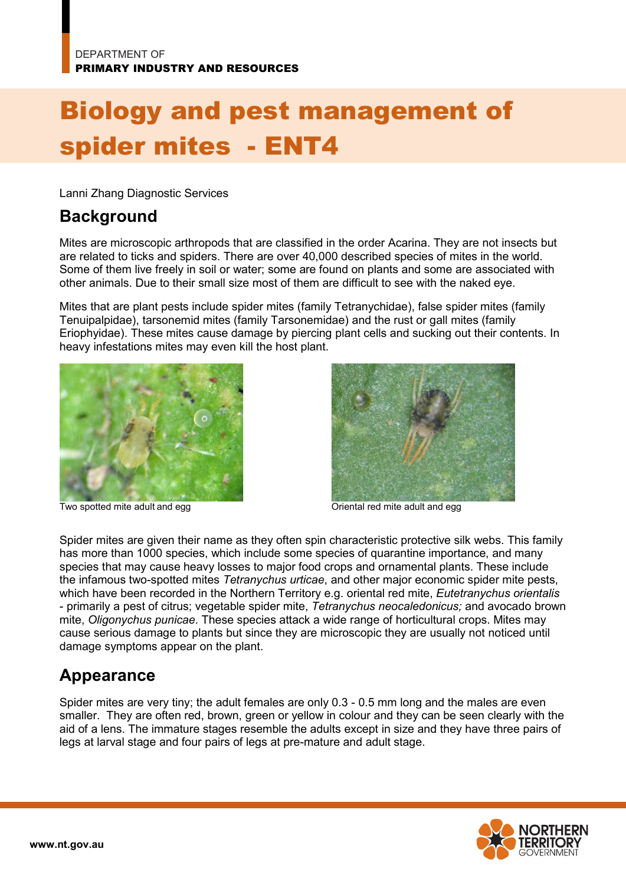# Biology and pest management of spider mites - ENT4

Lanni Zhang Diagnostic Services

#### **Background**

Mites are microscopic arthropods that are classified in the order Acarina. They are not insects but are related to ticks and spiders. There are over 40,000 described species of mites in the world. Some of them live freely in soil or water; some are found on plants and some are associated with other animals. Due to their small size most of them are difficult to see with the naked eye.

Mites that are plant pests include spider mites (family Tetranychidae), false spider mites (family Tenuipalpidae), tarsonemid mites (family Tarsonemidae) and the rust or gall mites (family Eriophyidae). These mites cause damage by piercing plant cells and sucking out their contents. In heavy infestations mites may even kill the host plant.



Two spotted mite adult and egg **Oriental red mite adult and egg** Oriental red mite adult and egg



Spider mites are given their name as they often spin characteristic protective silk webs. This family has more than 1000 species, which include some species of quarantine importance, and many species that may cause heavy losses to major food crops and ornamental plants. These include the infamous two-spotted mites *Tetranychus urticae*, and other major economic spider mite pests, which have been recorded in the Northern Territory e.g. oriental red mite, *Eutetranychus orientalis*  - primarily a pest of citrus; vegetable spider mite, *Tetranychus neocaledonicus;* and avocado brown mite, *Oligonychus punicae*. These species attack a wide range of horticultural crops. Mites may cause serious damage to plants but since they are microscopic they are usually not noticed until damage symptoms appear on the plant.

### **Appearance**

Spider mites are very tiny; the adult females are only 0.3 - 0.5 mm long and the males are even smaller. They are often red, brown, green or yellow in colour and they can be seen clearly with the aid of a lens. The immature stages resemble the adults except in size and they have three pairs of legs at larval stage and four pairs of legs at pre-mature and adult stage.

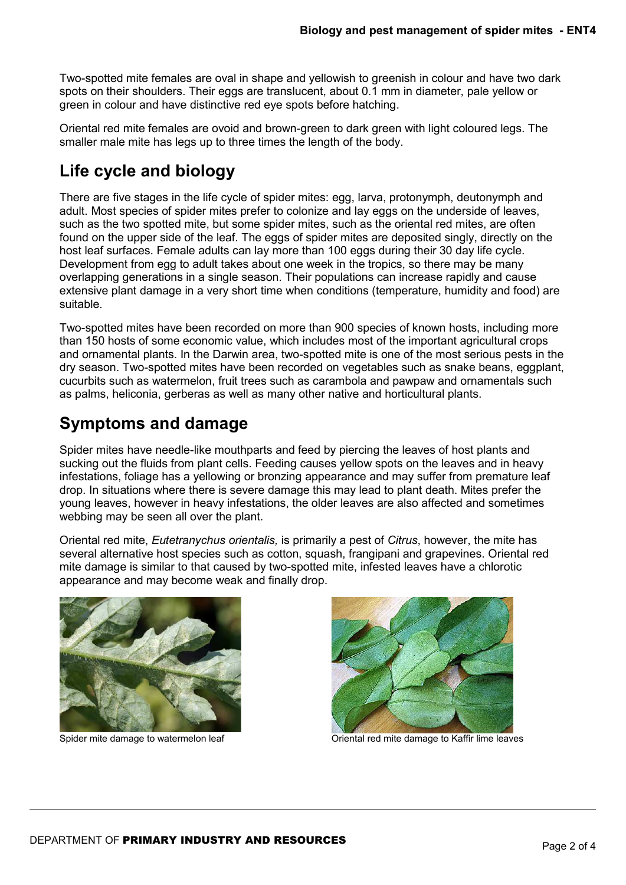Two-spotted mite females are oval in shape and yellowish to greenish in colour and have two dark spots on their shoulders. Their eggs are translucent, about 0.1 mm in diameter, pale yellow or green in colour and have distinctive red eye spots before hatching.

Oriental red mite females are ovoid and brown-green to dark green with light coloured legs. The smaller male mite has legs up to three times the length of the body.

## **Life cycle and biology**

There are five stages in the life cycle of spider mites: egg, larva, protonymph, deutonymph and adult. Most species of spider mites prefer to colonize and lay eggs on the underside of leaves, such as the two spotted mite, but some spider mites, such as the oriental red mites, are often found on the upper side of the leaf. The eggs of spider mites are deposited singly, directly on the host leaf surfaces. Female adults can lay more than 100 eggs during their 30 day life cycle. Development from egg to adult takes about one week in the tropics, so there may be many overlapping generations in a single season. Their populations can increase rapidly and cause extensive plant damage in a very short time when conditions (temperature, humidity and food) are suitable.

Two-spotted mites have been recorded on more than 900 species of known hosts, including more than 150 hosts of some economic value, which includes most of the important agricultural crops and ornamental plants. In the Darwin area, two-spotted mite is one of the most serious pests in the dry season. Two-spotted mites have been recorded on vegetables such as snake beans, eggplant, cucurbits such as watermelon, fruit trees such as carambola and pawpaw and ornamentals such as palms, heliconia, gerberas as well as many other native and horticultural plants.

### **Symptoms and damage**

Spider mites have needle-like mouthparts and feed by piercing the leaves of host plants and sucking out the fluids from plant cells. Feeding causes yellow spots on the leaves and in heavy infestations, foliage has a yellowing or bronzing appearance and may suffer from premature leaf drop. In situations where there is severe damage this may lead to plant death. Mites prefer the young leaves, however in heavy infestations, the older leaves are also affected and sometimes webbing may be seen all over the plant.

Oriental red mite, *Eutetranychus orientalis,* is primarily a pest of *Citrus*, however, the mite has several alternative host species such as cotton, squash, frangipani and grapevines. Oriental red mite damage is similar to that caused by two-spotted mite, infested leaves have a chlorotic appearance and may become weak and finally drop.





Spider mite damage to watermelon leaf **Oriental red mite damage to Kaffir lime leaves**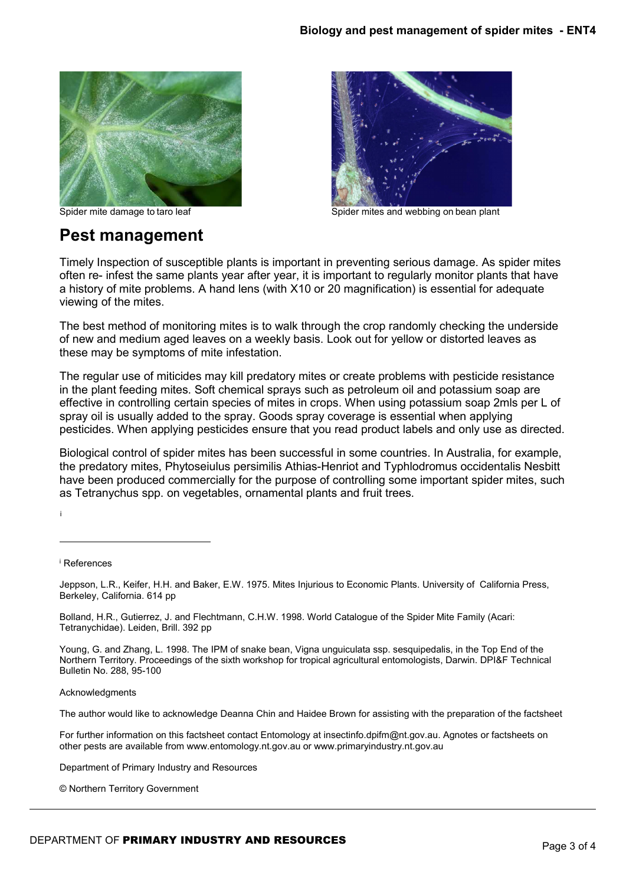

#### **Pest management**



Spider mite damage to taro leaf Spider mites and webbing on bean plant

Timely Inspection of susceptible plants is important in preventing serious damage. As spider mites often re- infest the same plants year after year, it is important to regularly monitor plants that have a history of mite problems. A hand lens (with X10 or 20 magnification) is essential for adequate viewing of the mites.

The best method of monitoring mites is to walk through the crop randomly checking the underside of new and medium aged leaves on a weekly basis. Look out for yellow or distorted leaves as these may be symptoms of mite infestation.

The regular use of miticides may kill predatory mites or create problems with pesticide resistance in the plant feeding mites. Soft chemical sprays such as petroleum oil and potassium soap are effective in controlling certain species of mites in crops. When using potassium soap 2mls per L of spray oil is usually added to the spray. Goods spray coverage is essential when applying pesticides. When applying pesticides ensure that you read product labels and only use as directed.

Biological control of spider mites has been successful in some countries. In Australia, for example, the predatory mites, Phytoseiulus persimilis Athias-Henriot and Typhlodromus occidentalis Nesbitt have been produced commercially for the purpose of controlling some important spider mites, such as Tetranychus spp. on vegetables, ornamental plants and fruit trees.

<span id="page-2-0"></span><sup>i</sup> References

[i](#page-2-0)

-

Jeppson, L.R., Keifer, H.H. and Baker, E.W. 1975. Mites Injurious to Economic Plants. University of California Press, Berkeley, California. 614 pp

Bolland, H.R., Gutierrez, J. and Flechtmann, C.H.W. 1998. World Catalogue of the Spider Mite Family (Acari: Tetranychidae). Leiden, Brill. 392 pp

Young, G. and Zhang, L. 1998. The IPM of snake bean, Vigna unguiculata ssp. sesquipedalis, in the Top End of the Northern Territory. Proceedings of the sixth workshop for tropical agricultural entomologists, Darwin. DPI&F Technical Bulletin No. 288, 95-100

Acknowledgments

The author would like to acknowledge Deanna Chin and Haidee Brown for assisting with the preparation of the factsheet

For further information on this factsheet contact Entomology at insectinfo.dpifm@nt.gov.au. Agnotes or factsheets on other pests are available from www.entomology.nt.gov.au or www.primaryindustry.nt.gov.au

Department of Primary Industry and Resources

© Northern Territory Government